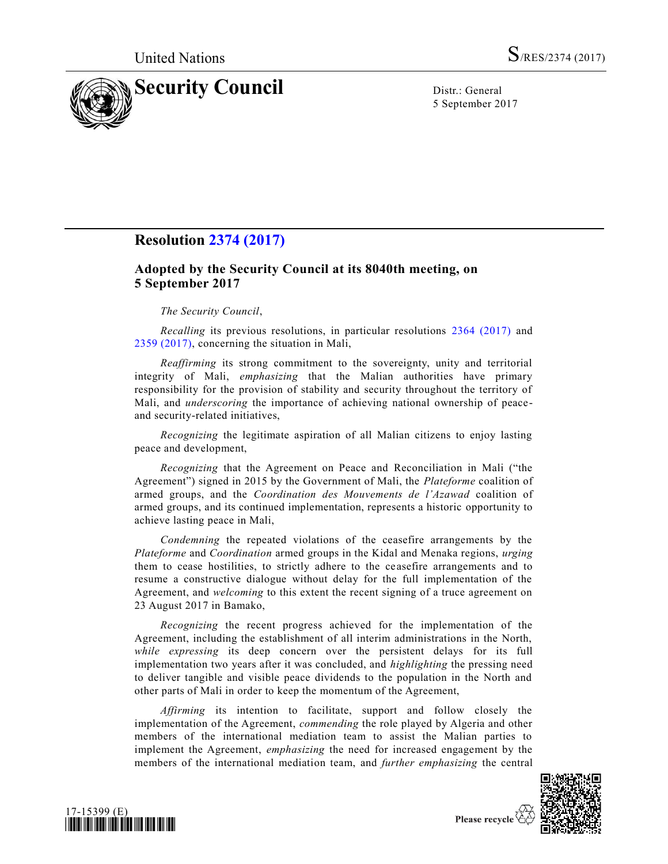

5 September 2017

# **Resolution [2374 \(2017\)](https://undocs.org/S/RES/2374(2017))**

# **Adopted by the Security Council at its 8040th meeting, on 5 September 2017**

# *The Security Council*,

*Recalling* its previous resolutions, in particular resolutions [2364 \(2017\)](https://undocs.org/S/RES/2364(2017)) and [2359 \(2017\),](https://undocs.org/S/RES/2359(2017)) concerning the situation in Mali,

*Reaffirming* its strong commitment to the sovereignty, unity and territorial integrity of Mali, *emphasizing* that the Malian authorities have primary responsibility for the provision of stability and security throughout the territory of Mali, and *underscoring* the importance of achieving national ownership of peaceand security-related initiatives,

*Recognizing* the legitimate aspiration of all Malian citizens to enjoy lasting peace and development,

*Recognizing* that the Agreement on Peace and Reconciliation in Mali ("the Agreement") signed in 2015 by the Government of Mali, the *Plateforme* coalition of armed groups, and the *Coordination des Mouvements de l'Azawad* coalition of armed groups, and its continued implementation, represents a historic opportunity to achieve lasting peace in Mali,

*Condemning* the repeated violations of the ceasefire arrangements by the *Plateforme* and *Coordination* armed groups in the Kidal and Menaka regions, *urging* them to cease hostilities, to strictly adhere to the ceasefire arrangements and to resume a constructive dialogue without delay for the full implementation of the Agreement, and *welcoming* to this extent the recent signing of a truce agreement on 23 August 2017 in Bamako,

*Recognizing* the recent progress achieved for the implementation of the Agreement, including the establishment of all interim administrations in the North, *while expressing* its deep concern over the persistent delays for its full implementation two years after it was concluded, and *highlighting* the pressing need to deliver tangible and visible peace dividends to the population in the North and other parts of Mali in order to keep the momentum of the Agreement,

*Affirming* its intention to facilitate, support and follow closely the implementation of the Agreement, *commending* the role played by Algeria and other members of the international mediation team to assist the Malian parties to implement the Agreement, *emphasizing* the need for increased engagement by the members of the international mediation team, and *further emphasizing* the central



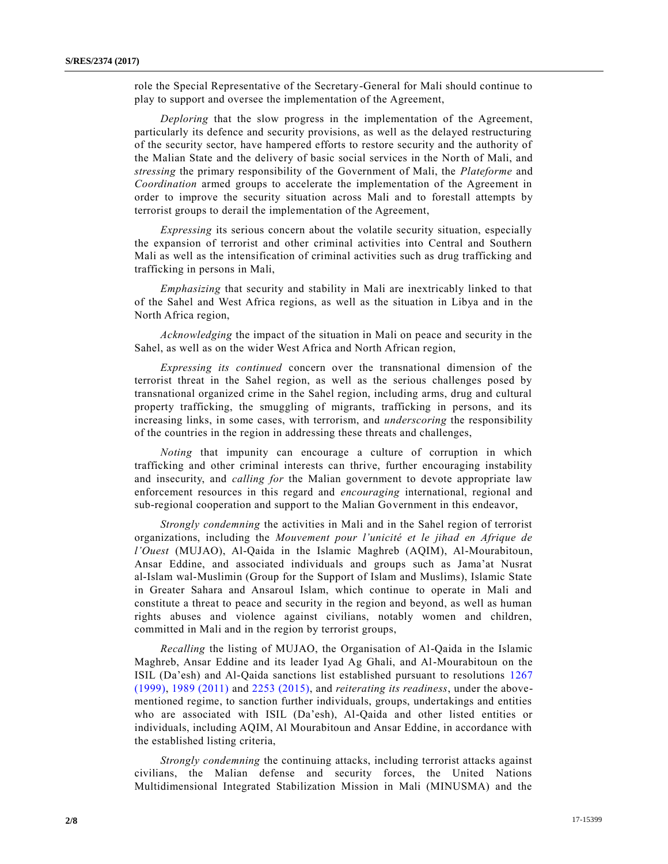role the Special Representative of the Secretary-General for Mali should continue to play to support and oversee the implementation of the Agreement,

*Deploring* that the slow progress in the implementation of the Agreement, particularly its defence and security provisions, as well as the delayed restructuring of the security sector, have hampered efforts to restore security and the authority of the Malian State and the delivery of basic social services in the North of Mali, and *stressing* the primary responsibility of the Government of Mali, the *Plateforme* and *Coordination* armed groups to accelerate the implementation of the Agreement in order to improve the security situation across Mali and to forestall attempts by terrorist groups to derail the implementation of the Agreement,

*Expressing* its serious concern about the volatile security situation, especially the expansion of terrorist and other criminal activities into Central and Southern Mali as well as the intensification of criminal activities such as drug trafficking and trafficking in persons in Mali,

*Emphasizing* that security and stability in Mali are inextricably linked to that of the Sahel and West Africa regions, as well as the situation in Libya and in the North Africa region,

*Acknowledging* the impact of the situation in Mali on peace and security in the Sahel, as well as on the wider West Africa and North African region,

*Expressing its continued* concern over the transnational dimension of the terrorist threat in the Sahel region, as well as the serious challenges posed by transnational organized crime in the Sahel region, including arms, drug and cultural property trafficking, the smuggling of migrants, trafficking in persons, and its increasing links, in some cases, with terrorism, and *underscoring* the responsibility of the countries in the region in addressing these threats and challenges,

*Noting* that impunity can encourage a culture of corruption in which trafficking and other criminal interests can thrive, further encouraging instability and insecurity, and *calling for* the Malian government to devote appropriate law enforcement resources in this regard and *encouraging* international, regional and sub-regional cooperation and support to the Malian Government in this endeavor,

*Strongly condemning* the activities in Mali and in the Sahel region of terrorist organizations, including the *Mouvement pour l'unicité et le jihad en Afrique de l'Ouest* (MUJAO), Al-Qaida in the Islamic Maghreb (AQIM), Al-Mourabitoun, Ansar Eddine, and associated individuals and groups such as Jama'at Nusrat al-Islam wal-Muslimin (Group for the Support of Islam and Muslims), Islamic State in Greater Sahara and Ansaroul Islam, which continue to operate in Mali and constitute a threat to peace and security in the region and beyond, as well as human rights abuses and violence against civilians, notably women and children, committed in Mali and in the region by terrorist groups,

*Recalling* the listing of MUJAO, the Organisation of Al-Qaida in the Islamic Maghreb, Ansar Eddine and its leader Iyad Ag Ghali, and Al-Mourabitoun on the ISIL (Da'esh) and Al-Qaida sanctions list established pursuant to resolutions [1267](https://undocs.org/S/RES/1267(1999))  [\(1999\),](https://undocs.org/S/RES/1267(1999)) [1989 \(2011\)](https://undocs.org/S/RES/1989(2011)) and [2253 \(2015\),](https://undocs.org/S/RES/2253(2015)) and *reiterating its readiness*, under the abovementioned regime, to sanction further individuals, groups, undertakings and entities who are associated with ISIL (Da'esh), Al-Qaida and other listed entities or individuals, including AQIM, Al Mourabitoun and Ansar Eddine, in accordance with the established listing criteria,

*Strongly condemning* the continuing attacks, including terrorist attacks against civilians, the Malian defense and security forces, the United Nations Multidimensional Integrated Stabilization Mission in Mali (MINUSMA) and the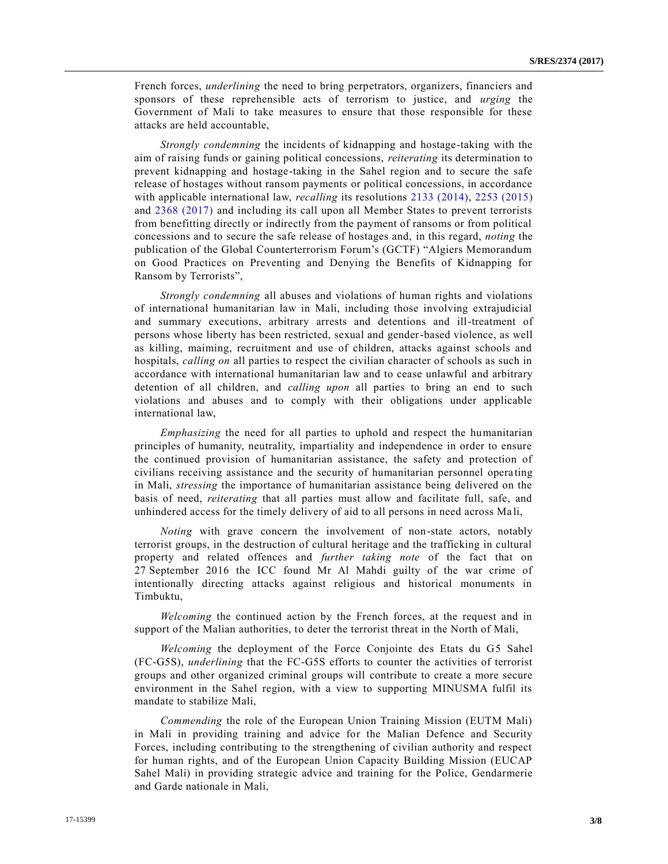French forces, *underlining* the need to bring perpetrators, organizers, financiers and sponsors of these reprehensible acts of terrorism to justice, and *urging* the Government of Mali to take measures to ensure that those responsible for these attacks are held accountable,

*Strongly condemning* the incidents of kidnapping and hostage-taking with the aim of raising funds or gaining political concessions, *reiterating* its determination to prevent kidnapping and hostage-taking in the Sahel region and to secure the safe release of hostages without ransom payments or political concessions, in accordance with applicable international law, *recalling* its resolutions [2133 \(2014\),](https://undocs.org/S/RES/2133(2014)) [2253 \(2015\)](https://undocs.org/S/RES/2253(2015)) and [2368 \(2017\)](https://undocs.org/S/RES/2368(2017)) and including its call upon all Member States to prevent terrorists from benefitting directly or indirectly from the payment of ransoms or from political concessions and to secure the safe release of hostages and, in this regard, *noting* the publication of the Global Counterterrorism Forum's (GCTF) "Algiers Memorandum on Good Practices on Preventing and Denying the Benefits of Kidnapping for Ransom by Terrorists",

*Strongly condemning* all abuses and violations of human rights and violations of international humanitarian law in Mali, including those involving extrajudicial and summary executions, arbitrary arrests and detentions and ill-treatment of persons whose liberty has been restricted, sexual and gender-based violence, as well as killing, maiming, recruitment and use of children, attacks against schools and hospitals, *calling on* all parties to respect the civilian character of schools as such in accordance with international humanitarian law and to cease unlawful and arbitrary detention of all children, and *calling upon* all parties to bring an end to such violations and abuses and to comply with their obligations under applicable international law,

*Emphasizing* the need for all parties to uphold and respect the humanitarian principles of humanity, neutrality, impartiality and independence in order to ensure the continued provision of humanitarian assistance, the safety and protection of civilians receiving assistance and the security of humanitarian personnel opera ting in Mali, *stressing* the importance of humanitarian assistance being delivered on the basis of need, *reiterating* that all parties must allow and facilitate full, safe, and unhindered access for the timely delivery of aid to all persons in need across Mali,

*Noting* with grave concern the involvement of non-state actors, notably terrorist groups, in the destruction of cultural heritage and the trafficking in cultural property and related offences and *further taking note* of the fact that on 27 September 2016 the ICC found Mr Al Mahdi guilty of the war crime of intentionally directing attacks against religious and historical monuments in Timbuktu,

*Welcoming* the continued action by the French forces, at the request and in support of the Malian authorities, to deter the terrorist threat in the North of Mali,

*Welcoming* the deployment of the Force Conjointe des Etats du G5 Sahel (FC-G5S), *underlining* that the FC-G5S efforts to counter the activities of terrorist groups and other organized criminal groups will contribute to create a more secure environment in the Sahel region, with a view to supporting MINUSMA fulfil its mandate to stabilize Mali,

*Commending* the role of the European Union Training Mission (EUTM Mali) in Mali in providing training and advice for the Malian Defence and Security Forces, including contributing to the strengthening of civilian authority and respect for human rights, and of the European Union Capacity Building Mission (EUCAP Sahel Mali) in providing strategic advice and training for the Police, Gendarmerie and Garde nationale in Mali,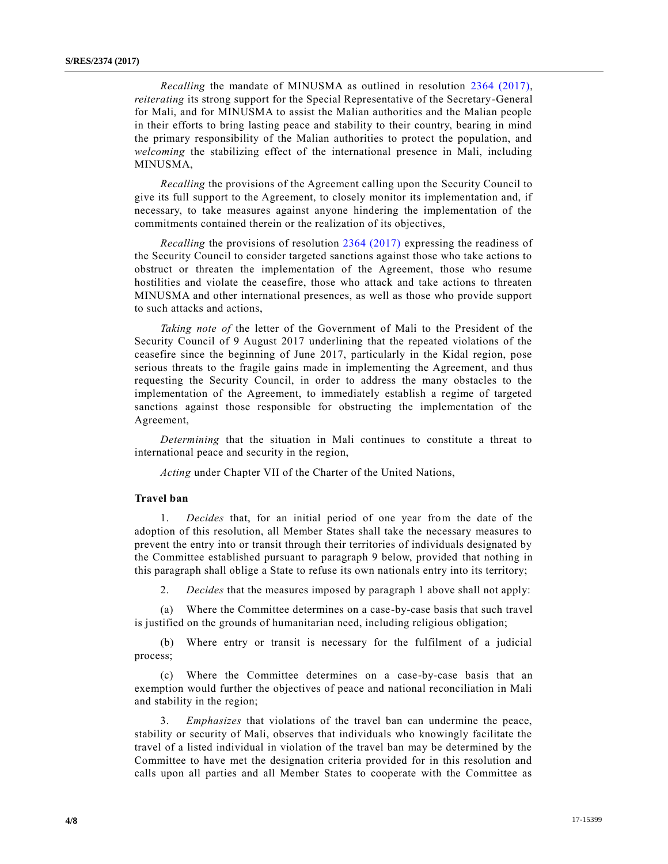*Recalling* the mandate of MINUSMA as outlined in resolution [2364 \(2017\),](https://undocs.org/S/RES/2364(2017)) *reiterating* its strong support for the Special Representative of the Secretary-General for Mali, and for MINUSMA to assist the Malian authorities and the Malian people in their efforts to bring lasting peace and stability to their country, bearing in mind the primary responsibility of the Malian authorities to protect the population, and *welcoming* the stabilizing effect of the international presence in Mali, including MINUSMA,

*Recalling* the provisions of the Agreement calling upon the Security Council to give its full support to the Agreement, to closely monitor its implementation and, if necessary, to take measures against anyone hindering the implementation of the commitments contained therein or the realization of its objectives,

*Recalling* the provisions of resolution [2364 \(2017\)](https://undocs.org/S/RES/2364(2017)) expressing the readiness of the Security Council to consider targeted sanctions against those who take actions to obstruct or threaten the implementation of the Agreement, those who resume hostilities and violate the ceasefire, those who attack and take actions to threaten MINUSMA and other international presences, as well as those who provide support to such attacks and actions,

*Taking note of* the letter of the Government of Mali to the President of the Security Council of 9 August 2017 underlining that the repeated violations of the ceasefire since the beginning of June 2017, particularly in the Kidal region, pose serious threats to the fragile gains made in implementing the Agreement, and thus requesting the Security Council, in order to address the many obstacles to the implementation of the Agreement, to immediately establish a regime of targeted sanctions against those responsible for obstructing the implementation of the Agreement,

*Determining* that the situation in Mali continues to constitute a threat to international peace and security in the region,

*Acting* under Chapter VII of the Charter of the United Nations,

# **Travel ban**

1. *Decides* that, for an initial period of one year from the date of the adoption of this resolution, all Member States shall take the necessary measures to prevent the entry into or transit through their territories of individuals designated by the Committee established pursuant to paragraph 9 below, provided that nothing in this paragraph shall oblige a State to refuse its own nationals entry into its territory;

2. *Decides* that the measures imposed by paragraph 1 above shall not apply:

(a) Where the Committee determines on a case-by-case basis that such travel is justified on the grounds of humanitarian need, including religious obligation;

(b) Where entry or transit is necessary for the fulfilment of a judicial process;

(c) Where the Committee determines on a case-by-case basis that an exemption would further the objectives of peace and national reconciliation in Mali and stability in the region;

3. *Emphasizes* that violations of the travel ban can undermine the peace, stability or security of Mali, observes that individuals who knowingly facilitate the travel of a listed individual in violation of the travel ban may be determined by the Committee to have met the designation criteria provided for in this resolution and calls upon all parties and all Member States to cooperate with the Committee as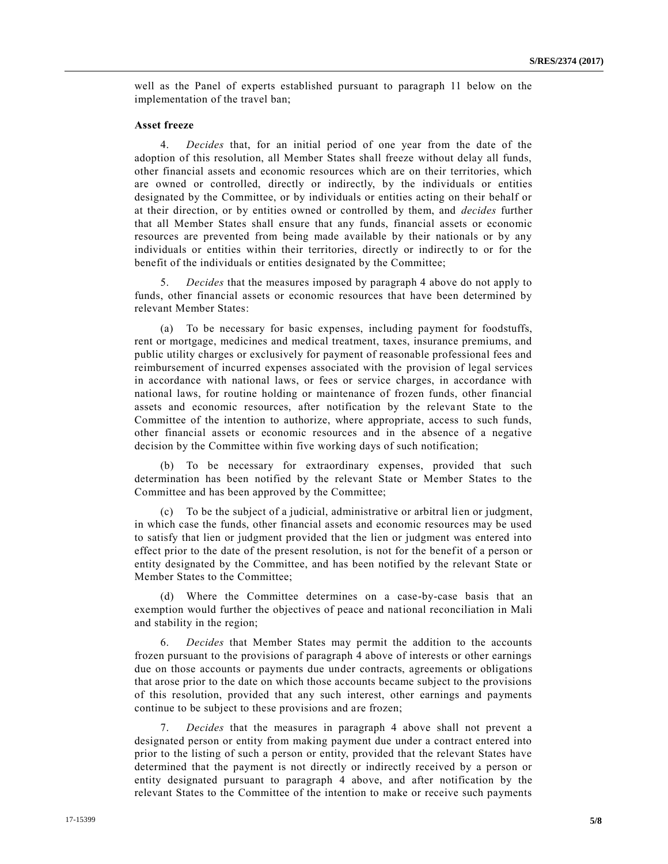well as the Panel of experts established pursuant to paragraph 11 below on the implementation of the travel ban;

## **Asset freeze**

4. *Decides* that, for an initial period of one year from the date of the adoption of this resolution, all Member States shall freeze without delay all funds, other financial assets and economic resources which are on their territories, which are owned or controlled, directly or indirectly, by the individuals or entities designated by the Committee, or by individuals or entities acting on their behalf or at their direction, or by entities owned or controlled by them, and *decides* further that all Member States shall ensure that any funds, financial assets or economic resources are prevented from being made available by their nationals or by any individuals or entities within their territories, directly or indirectly to or for the benefit of the individuals or entities designated by the Committee;

5. *Decides* that the measures imposed by paragraph 4 above do not apply to funds, other financial assets or economic resources that have been determined by relevant Member States:

(a) To be necessary for basic expenses, including payment for foodstuffs, rent or mortgage, medicines and medical treatment, taxes, insurance premiums, and public utility charges or exclusively for payment of reasonable professional fees and reimbursement of incurred expenses associated with the provision of legal services in accordance with national laws, or fees or service charges, in accordance with national laws, for routine holding or maintenance of frozen funds, other financial assets and economic resources, after notification by the relevant State to the Committee of the intention to authorize, where appropriate, access to such funds, other financial assets or economic resources and in the absence of a negative decision by the Committee within five working days of such notification;

(b) To be necessary for extraordinary expenses, provided that such determination has been notified by the relevant State or Member States to the Committee and has been approved by the Committee;

(c) To be the subject of a judicial, administrative or arbitral lien or judgment, in which case the funds, other financial assets and economic resources may be used to satisfy that lien or judgment provided that the lien or judgment was entered into effect prior to the date of the present resolution, is not for the benefit of a person or entity designated by the Committee, and has been notified by the relevant State or Member States to the Committee;

(d) Where the Committee determines on a case-by-case basis that an exemption would further the objectives of peace and national reconciliation in Mali and stability in the region;

6. *Decides* that Member States may permit the addition to the accounts frozen pursuant to the provisions of paragraph 4 above of interests or other earnings due on those accounts or payments due under contracts, agreements or obligations that arose prior to the date on which those accounts became subject to the provisions of this resolution, provided that any such interest, other earnings and payments continue to be subject to these provisions and are frozen;

7. *Decides* that the measures in paragraph 4 above shall not prevent a designated person or entity from making payment due under a contract entered into prior to the listing of such a person or entity, provided that the relevant States have determined that the payment is not directly or indirectly received by a person or entity designated pursuant to paragraph 4 above, and after notification by the relevant States to the Committee of the intention to make or receive such payments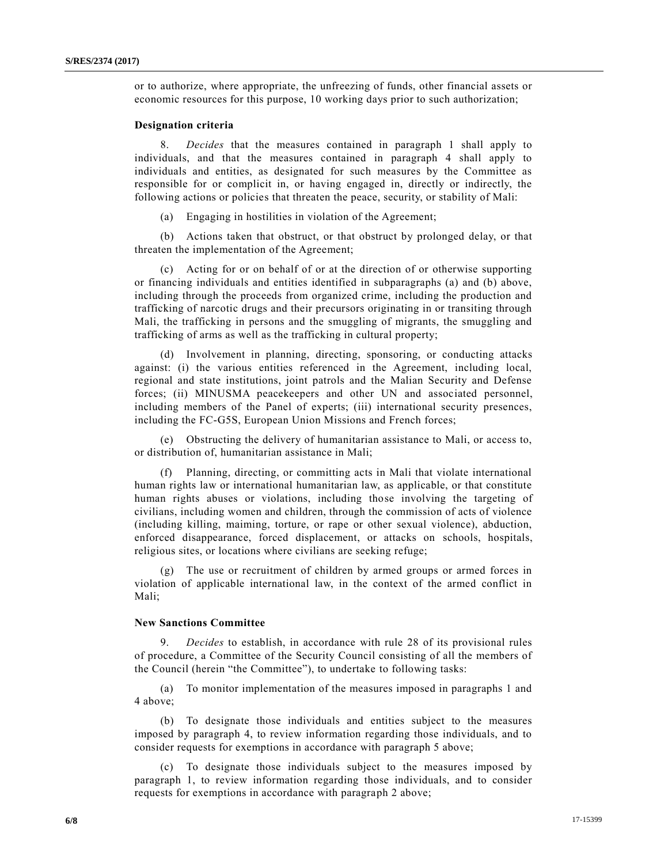or to authorize, where appropriate, the unfreezing of funds, other financial assets or economic resources for this purpose, 10 working days prior to such authorization;

#### **Designation criteria**

8. *Decides* that the measures contained in paragraph 1 shall apply to individuals, and that the measures contained in paragraph 4 shall apply to individuals and entities, as designated for such measures by the Committee as responsible for or complicit in, or having engaged in, directly or indirectly, the following actions or policies that threaten the peace, security, or stability of Mali:

(a) Engaging in hostilities in violation of the Agreement;

(b) Actions taken that obstruct, or that obstruct by prolonged delay, or that threaten the implementation of the Agreement;

(c) Acting for or on behalf of or at the direction of or otherwise supporting or financing individuals and entities identified in subparagraphs (a) and (b) above, including through the proceeds from organized crime, including the production and trafficking of narcotic drugs and their precursors originating in or transiting through Mali, the trafficking in persons and the smuggling of migrants, the smuggling and trafficking of arms as well as the trafficking in cultural property;

(d) Involvement in planning, directing, sponsoring, or conducting attacks against: (i) the various entities referenced in the Agreement, including local, regional and state institutions, joint patrols and the Malian Security and Defense forces; (ii) MINUSMA peacekeepers and other UN and associated personnel, including members of the Panel of experts; (iii) international security presences, including the FC-G5S, European Union Missions and French forces;

(e) Obstructing the delivery of humanitarian assistance to Mali, or access to, or distribution of, humanitarian assistance in Mali;

(f) Planning, directing, or committing acts in Mali that violate international human rights law or international humanitarian law, as applicable, or that constitute human rights abuses or violations, including those involving the targeting of civilians, including women and children, through the commission of acts of violence (including killing, maiming, torture, or rape or other sexual violence), abduction, enforced disappearance, forced displacement, or attacks on schools, hospitals, religious sites, or locations where civilians are seeking refuge;

(g) The use or recruitment of children by armed groups or armed forces in violation of applicable international law, in the context of the armed conflict in Mali;

# **New Sanctions Committee**

9. *Decides* to establish, in accordance with rule 28 of its provisional rules of procedure, a Committee of the Security Council consisting of all the members of the Council (herein "the Committee"), to undertake to following tasks:

(a) To monitor implementation of the measures imposed in paragraphs 1 and 4 above;

(b) To designate those individuals and entities subject to the measures imposed by paragraph 4, to review information regarding those individuals, and to consider requests for exemptions in accordance with paragraph 5 above;

(c) To designate those individuals subject to the measures imposed by paragraph 1, to review information regarding those individuals, and to consider requests for exemptions in accordance with paragraph 2 above;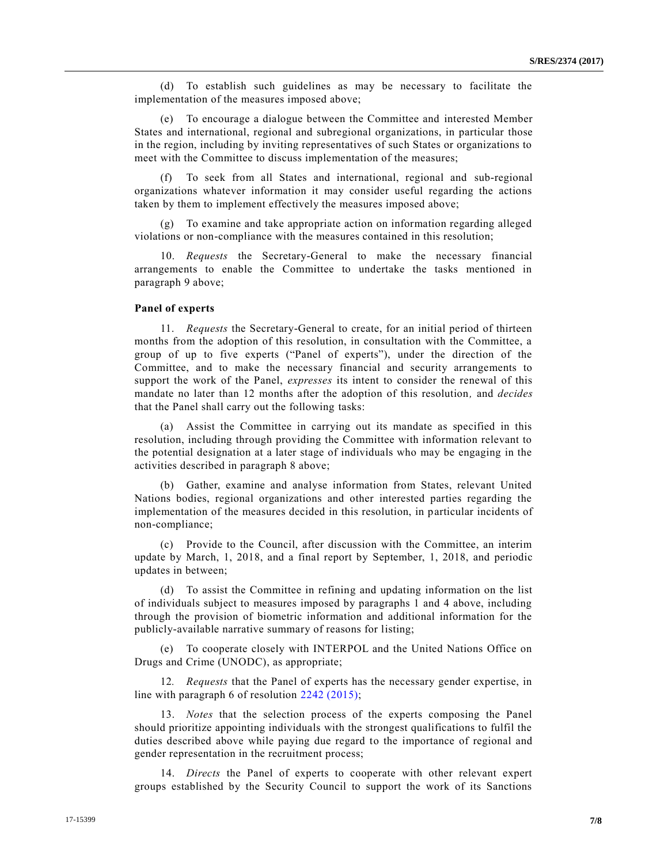(d) To establish such guidelines as may be necessary to facilitate the implementation of the measures imposed above;

(e) To encourage a dialogue between the Committee and interested Member States and international, regional and subregional organizations, in particular those in the region, including by inviting representatives of such States or organizations to meet with the Committee to discuss implementation of the measures;

(f) To seek from all States and international, regional and sub-regional organizations whatever information it may consider useful regarding the actions taken by them to implement effectively the measures imposed above;

(g) To examine and take appropriate action on information regarding alleged violations or non-compliance with the measures contained in this resolution;

10. *Requests* the Secretary-General to make the necessary financial arrangements to enable the Committee to undertake the tasks mentioned in paragraph 9 above;

#### **Panel of experts**

11. *Requests* the Secretary-General to create, for an initial period of thirteen months from the adoption of this resolution, in consultation with the Committee, a group of up to five experts ("Panel of experts"), under the direction of the Committee, and to make the necessary financial and security arrangements to support the work of the Panel, *expresses* its intent to consider the renewal of this mandate no later than 12 months after the adoption of this resolution*,* and *decides* that the Panel shall carry out the following tasks:

(a) Assist the Committee in carrying out its mandate as specified in this resolution, including through providing the Committee with information relevant to the potential designation at a later stage of individuals who may be engaging in the activities described in paragraph 8 above;

(b) Gather, examine and analyse information from States, relevant United Nations bodies, regional organizations and other interested parties regarding the implementation of the measures decided in this resolution, in particular incidents of non-compliance;

(c) Provide to the Council, after discussion with the Committee, an interim update by March, 1, 2018, and a final report by September, 1, 2018, and periodic updates in between;

(d) To assist the Committee in refining and updating information on the list of individuals subject to measures imposed by paragraphs 1 and 4 above, including through the provision of biometric information and additional information for the publicly-available narrative summary of reasons for listing;

(e) To cooperate closely with INTERPOL and the United Nations Office on Drugs and Crime (UNODC), as appropriate;

12*. Requests* that the Panel of experts has the necessary gender expertise, in line with paragraph 6 of resolution [2242 \(2015\);](https://undocs.org/S/RES/2242(2015))

13. *Notes* that the selection process of the experts composing the Panel should prioritize appointing individuals with the strongest qualifications to fulfil the duties described above while paying due regard to the importance of regional and gender representation in the recruitment process;

14. *Directs* the Panel of experts to cooperate with other relevant expert groups established by the Security Council to support the work of its Sanctions